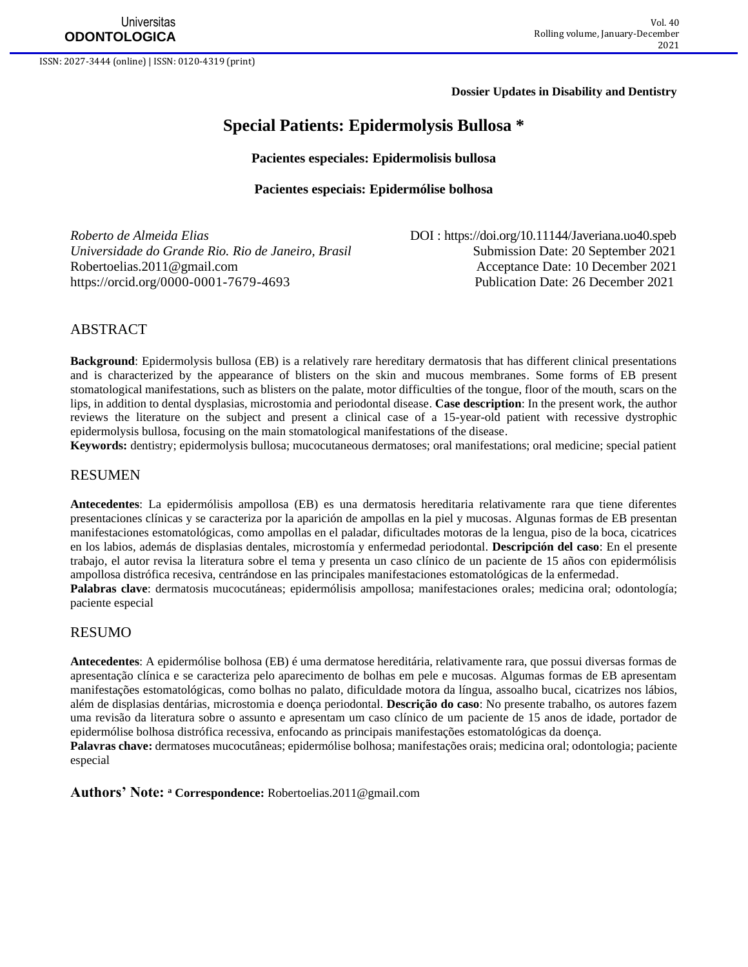**Dossier Updates in Disability and Dentistry**

# **Special Patients: Epidermolysis Bullosa \***

#### **Pacientes especiales: Epidermolisis bullosa**

#### **Pacientes especiais: Epidermólise bolhosa**

*Roberto de Almeida Elias* DOI : <https://doi.org/10.11144/Javeriana.uo40.speb> *Universidade do Grande Rio. Rio de Janeiro, Brasil* **Submission Date: 20 September 2021** [Robertoelias.2011@gmail.com](mailto:Robertoelias.2011@gmail.com) Acceptance Date: 10 December 2021 <https://orcid.org/0000-0001-7679-4693> Publication Date: 26 December 2021

### ABSTRACT

**Background**: Epidermolysis bullosa (EB) is a relatively rare hereditary dermatosis that has different clinical presentations and is characterized by the appearance of blisters on the skin and mucous membranes. Some forms of EB present stomatological manifestations, such as blisters on the palate, motor difficulties of the tongue, floor of the mouth, scars on the lips, in addition to dental dysplasias, microstomia and periodontal disease. **Case description**: In the present work, the author reviews the literature on the subject and present a clinical case of a 15-year-old patient with recessive dystrophic epidermolysis bullosa, focusing on the main stomatological manifestations of the disease.

**Keywords:** dentistry; epidermolysis bullosa; mucocutaneous dermatoses; oral manifestations; oral medicine; special patient

### RESUMEN

**Antecedentes**: La epidermólisis ampollosa (EB) es una dermatosis hereditaria relativamente rara que tiene diferentes presentaciones clínicas y se caracteriza por la aparición de ampollas en la piel y mucosas. Algunas formas de EB presentan manifestaciones estomatológicas, como ampollas en el paladar, dificultades motoras de la lengua, piso de la boca, cicatrices en los labios, además de displasias dentales, microstomía y enfermedad periodontal. **Descripción del caso**: En el presente trabajo, el autor revisa la literatura sobre el tema y presenta un caso clínico de un paciente de 15 años con epidermólisis ampollosa distrófica recesiva, centrándose en las principales manifestaciones estomatológicas de la enfermedad.

**Palabras clave**: dermatosis mucocutáneas; epidermólisis ampollosa; manifestaciones orales; medicina oral; odontología; paciente especial

### RESUMO

**Antecedentes**: A epidermólise bolhosa (EB) é uma dermatose hereditária, relativamente rara, que possui diversas formas de apresentação clínica e se caracteriza pelo aparecimento de bolhas em pele e mucosas. Algumas formas de EB apresentam manifestações estomatológicas, como bolhas no palato, dificuldade motora da língua, assoalho bucal, cicatrizes nos lábios, além de displasias dentárias, microstomia e doença periodontal. **Descrição do caso**: No presente trabalho, os autores fazem uma revisão da literatura sobre o assunto e apresentam um caso clínico de um paciente de 15 anos de idade, portador de epidermólise bolhosa distrófica recessiva, enfocando as principais manifestações estomatológicas da doença.

**Palavras chave:** dermatoses mucocutâneas; epidermólise bolhosa; manifestações orais; medicina oral; odontologia; paciente especial

**Authors' Note: <sup>a</sup> Correspondence:** [Robertoelias.2011@gmail.com](mailto:Robertoelias.2011@gmail.com)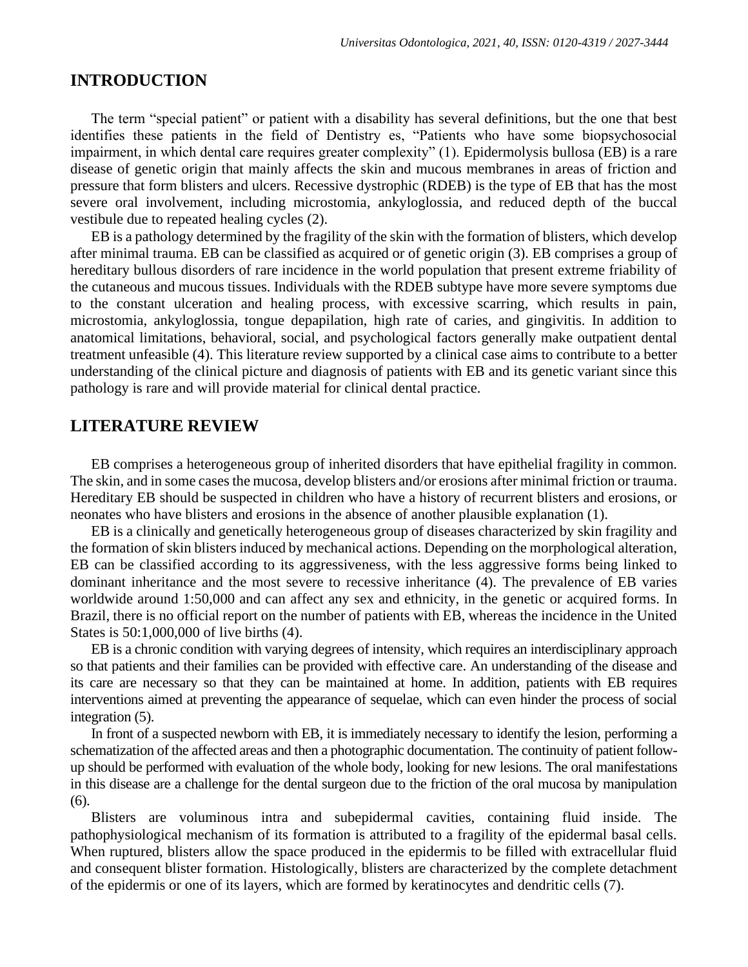## **INTRODUCTION**

The term "special patient" or patient with a disability has several definitions, but the one that best identifies these patients in the field of Dentistry es, "Patients who have some biopsychosocial impairment, in which dental care requires greater complexity" (1). Epidermolysis bullosa (EB) is a rare disease of genetic origin that mainly affects the skin and mucous membranes in areas of friction and pressure that form blisters and ulcers. Recessive dystrophic (RDEB) is the type of EB that has the most severe oral involvement, including microstomia, ankyloglossia, and reduced depth of the buccal vestibule due to repeated healing cycles (2).

EB is a pathology determined by the fragility of the skin with the formation of blisters, which develop after minimal trauma. EB can be classified as acquired or of genetic origin (3). EB comprises a group of hereditary bullous disorders of rare incidence in the world population that present extreme friability of the cutaneous and mucous tissues. Individuals with the RDEB subtype have more severe symptoms due to the constant ulceration and healing process, with excessive scarring, which results in pain, microstomia, ankyloglossia, tongue depapilation, high rate of caries, and gingivitis. In addition to anatomical limitations, behavioral, social, and psychological factors generally make outpatient dental treatment unfeasible (4). This literature review supported by a clinical case aims to contribute to a better understanding of the clinical picture and diagnosis of patients with EB and its genetic variant since this pathology is rare and will provide material for clinical dental practice.

## **LITERATURE REVIEW**

EB comprises a heterogeneous group of inherited disorders that have epithelial fragility in common. The skin, and in some cases the mucosa, develop blisters and/or erosions after minimal friction or trauma. Hereditary EB should be suspected in children who have a history of recurrent blisters and erosions, or neonates who have blisters and erosions in the absence of another plausible explanation (1).

EB is a clinically and genetically heterogeneous group of diseases characterized by skin fragility and the formation of skin blisters induced by mechanical actions. Depending on the morphological alteration, EB can be classified according to its aggressiveness, with the less aggressive forms being linked to dominant inheritance and the most severe to recessive inheritance (4). The prevalence of EB varies worldwide around 1:50,000 and can affect any sex and ethnicity, in the genetic or acquired forms. In Brazil, there is no official report on the number of patients with EB, whereas the incidence in the United States is 50:1,000,000 of live births (4).

EB is a chronic condition with varying degrees of intensity, which requires an interdisciplinary approach so that patients and their families can be provided with effective care. An understanding of the disease and its care are necessary so that they can be maintained at home. In addition, patients with EB requires interventions aimed at preventing the appearance of sequelae, which can even hinder the process of social integration (5).

In front of a suspected newborn with EB, it is immediately necessary to identify the lesion, performing a schematization of the affected areas and then a photographic documentation. The continuity of patient followup should be performed with evaluation of the whole body, looking for new lesions. The oral manifestations in this disease are a challenge for the dental surgeon due to the friction of the oral mucosa by manipulation (6).

Blisters are voluminous intra and subepidermal cavities, containing fluid inside. The pathophysiological mechanism of its formation is attributed to a fragility of the epidermal basal cells. When ruptured, blisters allow the space produced in the epidermis to be filled with extracellular fluid and consequent blister formation. Histologically, blisters are characterized by the complete detachment of the epidermis or one of its layers, which are formed by keratinocytes and dendritic cells (7).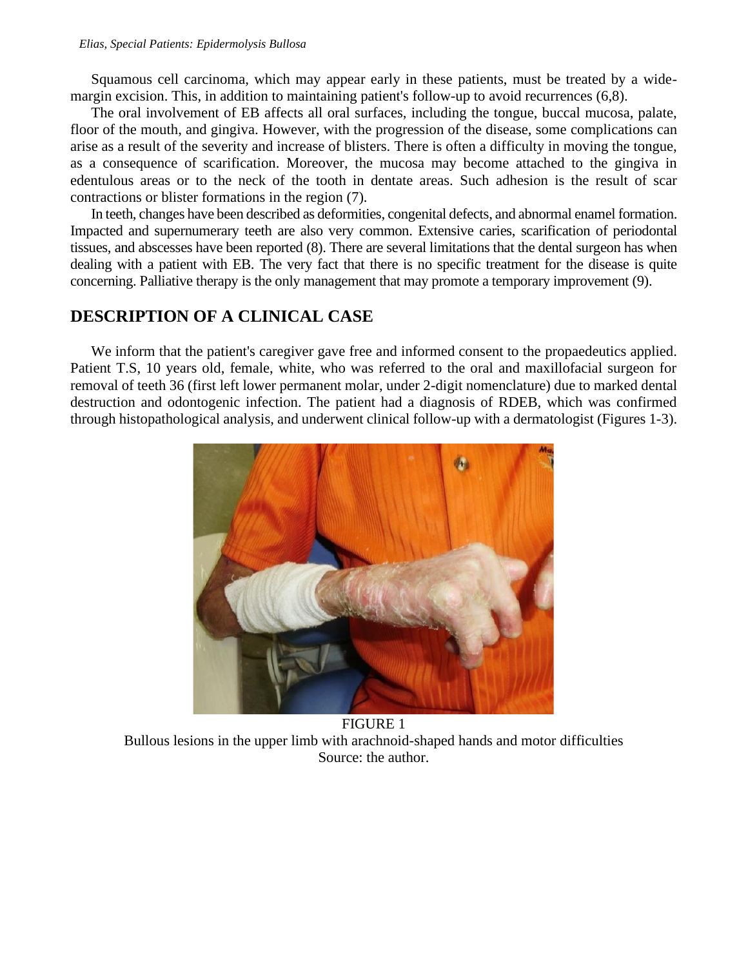Squamous cell carcinoma, which may appear early in these patients, must be treated by a widemargin excision. This, in addition to maintaining patient's follow-up to avoid recurrences (6,8).

The oral involvement of EB affects all oral surfaces, including the tongue, buccal mucosa, palate, floor of the mouth, and gingiva. However, with the progression of the disease, some complications can arise as a result of the severity and increase of blisters. There is often a difficulty in moving the tongue, as a consequence of scarification. Moreover, the mucosa may become attached to the gingiva in edentulous areas or to the neck of the tooth in dentate areas. Such adhesion is the result of scar contractions or blister formations in the region (7).

In teeth, changes have been described as deformities, congenital defects, and abnormal enamel formation. Impacted and supernumerary teeth are also very common. Extensive caries, scarification of periodontal tissues, and abscesses have been reported (8). There are several limitations that the dental surgeon has when dealing with a patient with EB. The very fact that there is no specific treatment for the disease is quite concerning. Palliative therapy is the only management that may promote a temporary improvement (9).

# **DESCRIPTION OF A CLINICAL CASE**

We inform that the patient's caregiver gave free and informed consent to the propaedeutics applied. Patient T.S, 10 years old, female, white, who was referred to the oral and maxillofacial surgeon for removal of teeth 36 (first left lower permanent molar, under 2-digit nomenclature) due to marked dental destruction and odontogenic infection. The patient had a diagnosis of RDEB, which was confirmed through histopathological analysis, and underwent clinical follow-up with a dermatologist (Figures 1-3).



FIGURE 1 Bullous lesions in the upper limb with arachnoid-shaped hands and motor difficulties Source: the author.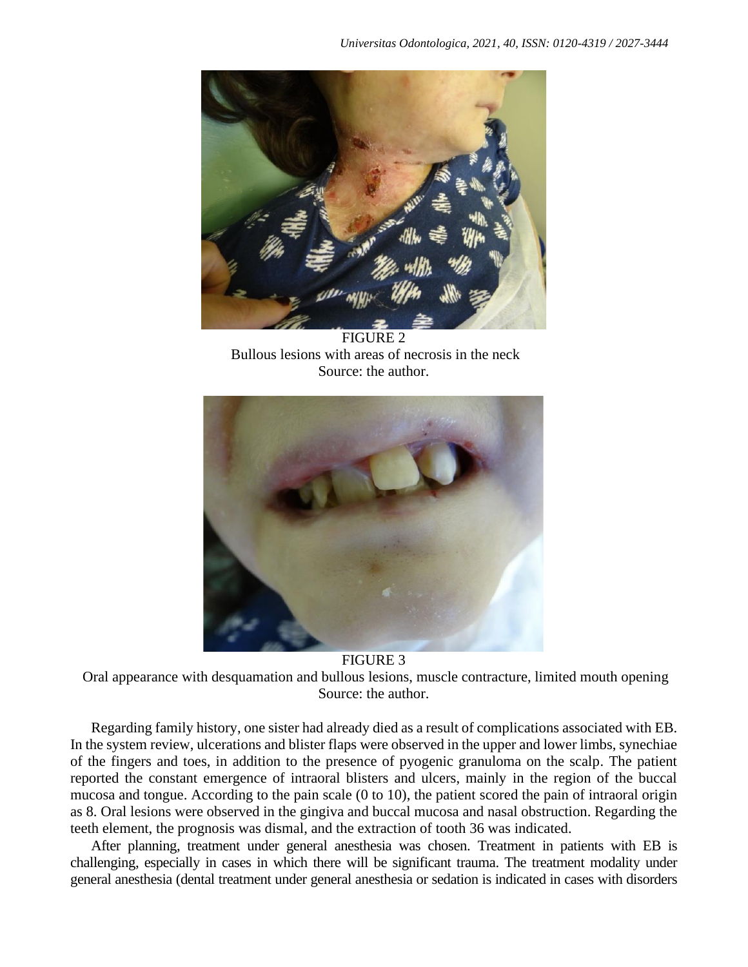

FIGURE 2 Bullous lesions with areas of necrosis in the neck Source: the author.



FIGURE 3

Oral appearance with desquamation and bullous lesions, muscle contracture, limited mouth opening Source: the author.

Regarding family history, one sister had already died as a result of complications associated with EB. In the system review, ulcerations and blister flaps were observed in the upper and lower limbs, synechiae of the fingers and toes, in addition to the presence of pyogenic granuloma on the scalp. The patient reported the constant emergence of intraoral blisters and ulcers, mainly in the region of the buccal mucosa and tongue. According to the pain scale (0 to 10), the patient scored the pain of intraoral origin as 8. Oral lesions were observed in the gingiva and buccal mucosa and nasal obstruction. Regarding the teeth element, the prognosis was dismal, and the extraction of tooth 36 was indicated.

After planning, treatment under general anesthesia was chosen. Treatment in patients with EB is challenging, especially in cases in which there will be significant trauma. The treatment modality under general anesthesia (dental treatment under general anesthesia or sedation is indicated in cases with disorders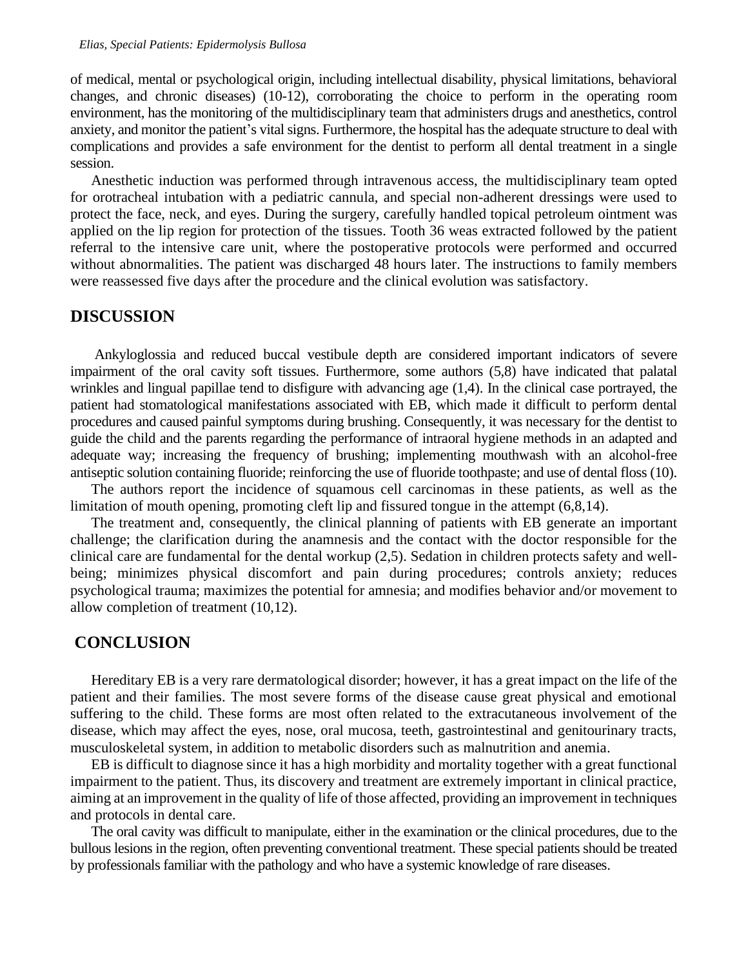of medical, mental or psychological origin, including intellectual disability, physical limitations, behavioral changes, and chronic diseases) (10-12), corroborating the choice to perform in the operating room environment, has the monitoring of the multidisciplinary team that administers drugs and anesthetics, control anxiety, and monitor the patient's vital signs. Furthermore, the hospital has the adequate structure to deal with complications and provides a safe environment for the dentist to perform all dental treatment in a single session.

Anesthetic induction was performed through intravenous access, the multidisciplinary team opted for orotracheal intubation with a pediatric cannula, and special non-adherent dressings were used to protect the face, neck, and eyes. During the surgery, carefully handled topical petroleum ointment was applied on the lip region for protection of the tissues. Tooth 36 weas extracted followed by the patient referral to the intensive care unit, where the postoperative protocols were performed and occurred without abnormalities. The patient was discharged 48 hours later. The instructions to family members were reassessed five days after the procedure and the clinical evolution was satisfactory.

## **DISCUSSION**

Ankyloglossia and reduced buccal vestibule depth are considered important indicators of severe impairment of the oral cavity soft tissues. Furthermore, some authors (5,8) have indicated that palatal wrinkles and lingual papillae tend to disfigure with advancing age (1,4). In the clinical case portrayed, the patient had stomatological manifestations associated with EB, which made it difficult to perform dental procedures and caused painful symptoms during brushing. Consequently, it was necessary for the dentist to guide the child and the parents regarding the performance of intraoral hygiene methods in an adapted and adequate way; increasing the frequency of brushing; implementing mouthwash with an alcohol-free antiseptic solution containing fluoride; reinforcing the use of fluoride toothpaste; and use of dental floss (10).

The authors report the incidence of squamous cell carcinomas in these patients, as well as the limitation of mouth opening, promoting cleft lip and fissured tongue in the attempt  $(6,8,14)$ .

The treatment and, consequently, the clinical planning of patients with EB generate an important challenge; the clarification during the anamnesis and the contact with the doctor responsible for the clinical care are fundamental for the dental workup (2,5). Sedation in children protects safety and wellbeing; minimizes physical discomfort and pain during procedures; controls anxiety; reduces psychological trauma; maximizes the potential for amnesia; and modifies behavior and/or movement to allow completion of treatment (10,12).

## **CONCLUSION**

Hereditary EB is a very rare dermatological disorder; however, it has a great impact on the life of the patient and their families. The most severe forms of the disease cause great physical and emotional suffering to the child. These forms are most often related to the extracutaneous involvement of the disease, which may affect the eyes, nose, oral mucosa, teeth, gastrointestinal and genitourinary tracts, musculoskeletal system, in addition to metabolic disorders such as malnutrition and anemia.

EB is difficult to diagnose since it has a high morbidity and mortality together with a great functional impairment to the patient. Thus, its discovery and treatment are extremely important in clinical practice, aiming at an improvement in the quality of life of those affected, providing an improvement in techniques and protocols in dental care.

The oral cavity was difficult to manipulate, either in the examination or the clinical procedures, due to the bullous lesions in the region, often preventing conventional treatment. These special patients should be treated by professionals familiar with the pathology and who have a systemic knowledge of rare diseases.